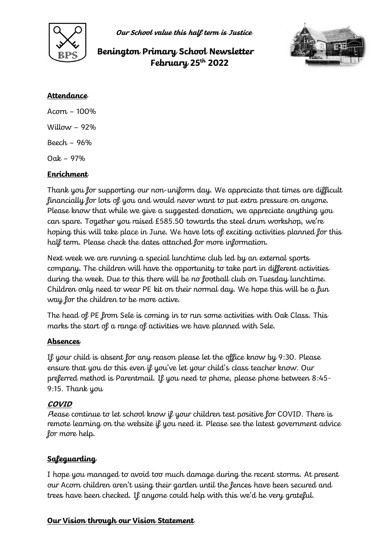

**Our School value this half term is Justice**

# **Benington Primary School Newsletter February 25th 2022**



#### **Attendance**

Acorn – 100% Willow  $-92%$ Beech – 96% Oak – 97%

### **Enrichment**

Thank you for supporting our non-uniform day. We appreciate that times are difficult financially for lots of you and would never want to put extra pressure on anyone. Please know that while we give a suggested donation, we appreciate anything you can spare. Together you raised £585.50 towards the steel drum workshop, we're hoping this will take place in June. We have lots of exciting activities planned for this half term. Please check the dates attached for more information.

Next week we are running a special lunchtime club led by an external sports company. The children will have the opportunity to take part in different activities during the week. Due to this there will be no football club on Tuesday lunchtime. Children only need to wear PE kit on their normal day. We hope this will be a fun way for the children to be more active.

The head of PE from Sele is coming in to run some activities with Oak Class. This marks the start of a range of activities we have planned with Sele.

#### **Absences**

If your child is absent for any reason please let the office know by 9:30. Please ensure that you do this even if you've let your child's class teacher know. Our preferred method is Parentmail. If you need to phone, please phone between 8:45- 9:15. Thank you

#### **COVID**

Please continue to let school know if your children test positive for COVID. There is remote learning on the website if you need it. Please see the latest government advice for more help.

## **Safeguarding**

I hope you managed to avoid too much damage during the recent storms. At present our Acorn children aren't using their garden until the fences have been secured and trees have been checked. If anyone could help with this we'd be very grateful.

#### **Our Vision through our Vision Statement**